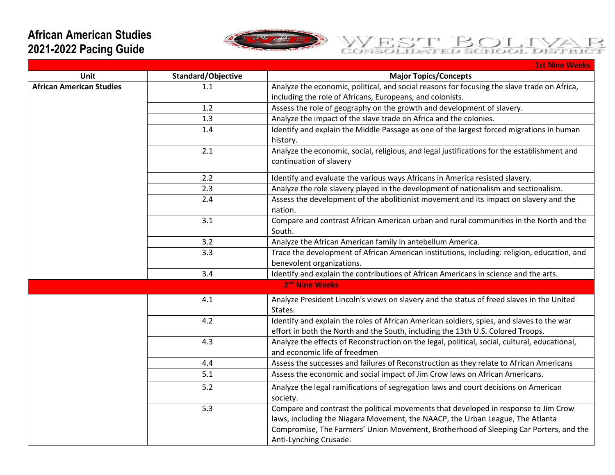## **African American Studies 2021-2022 Pacing Guide**





|                                 |                    | <b>1st Nine Weeks</b>                                                                                                                                                                                                                                                                    |
|---------------------------------|--------------------|------------------------------------------------------------------------------------------------------------------------------------------------------------------------------------------------------------------------------------------------------------------------------------------|
| Unit                            | Standard/Objective | <b>Major Topics/Concepts</b>                                                                                                                                                                                                                                                             |
| <b>African American Studies</b> | 1.1                | Analyze the economic, political, and social reasons for focusing the slave trade on Africa,<br>including the role of Africans, Europeans, and colonists.                                                                                                                                 |
|                                 | 1.2                | Assess the role of geography on the growth and development of slavery.                                                                                                                                                                                                                   |
|                                 | 1.3                | Analyze the impact of the slave trade on Africa and the colonies.                                                                                                                                                                                                                        |
|                                 | 1.4                | Identify and explain the Middle Passage as one of the largest forced migrations in human<br>history.                                                                                                                                                                                     |
|                                 | 2.1                | Analyze the economic, social, religious, and legal justifications for the establishment and<br>continuation of slavery                                                                                                                                                                   |
|                                 | 2.2                | Identify and evaluate the various ways Africans in America resisted slavery.                                                                                                                                                                                                             |
|                                 | 2.3                | Analyze the role slavery played in the development of nationalism and sectionalism.                                                                                                                                                                                                      |
|                                 | 2.4                | Assess the development of the abolitionist movement and its impact on slavery and the<br>nation.                                                                                                                                                                                         |
|                                 | 3.1                | Compare and contrast African American urban and rural communities in the North and the<br>South.                                                                                                                                                                                         |
|                                 | 3.2                | Analyze the African American family in antebellum America.                                                                                                                                                                                                                               |
|                                 | 3.3                | Trace the development of African American institutions, including: religion, education, and<br>benevolent organizations.                                                                                                                                                                 |
|                                 | 3.4                | Identify and explain the contributions of African Americans in science and the arts.                                                                                                                                                                                                     |
|                                 |                    | 2 <sup>nd</sup> Nine Weeks                                                                                                                                                                                                                                                               |
|                                 | 4.1                | Analyze President Lincoln's views on slavery and the status of freed slaves in the United<br>States.                                                                                                                                                                                     |
|                                 | 4.2                | Identify and explain the roles of African American soldiers, spies, and slaves to the war<br>effort in both the North and the South, including the 13th U.S. Colored Troops.                                                                                                             |
|                                 | 4.3                | Analyze the effects of Reconstruction on the legal, political, social, cultural, educational,<br>and economic life of freedmen                                                                                                                                                           |
|                                 | 4.4                | Assess the successes and failures of Reconstruction as they relate to African Americans                                                                                                                                                                                                  |
|                                 | 5.1                | Assess the economic and social impact of Jim Crow laws on African Americans.                                                                                                                                                                                                             |
|                                 | 5.2                | Analyze the legal ramifications of segregation laws and court decisions on American<br>society.                                                                                                                                                                                          |
|                                 | 5.3                | Compare and contrast the political movements that developed in response to Jim Crow<br>laws, including the Niagara Movement, the NAACP, the Urban League, The Atlanta<br>Compromise, The Farmers' Union Movement, Brotherhood of Sleeping Car Porters, and the<br>Anti-Lynching Crusade. |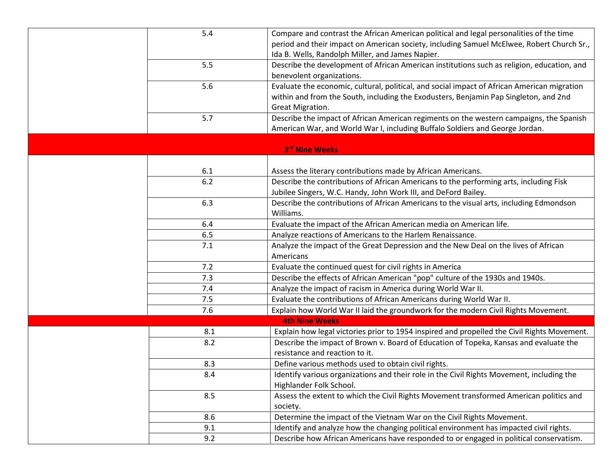| 5.4   | Compare and contrast the African American political and legal personalities of the time     |
|-------|---------------------------------------------------------------------------------------------|
|       | period and their impact on American society, including Samuel McElwee, Robert Church Sr.,   |
|       | Ida B. Wells, Randolph Miller, and James Napier.                                            |
| 5.5   | Describe the development of African American institutions such as religion, education, and  |
|       | benevolent organizations.                                                                   |
| 5.6   | Evaluate the economic, cultural, political, and social impact of African American migration |
|       | within and from the South, including the Exodusters, Benjamin Pap Singleton, and 2nd        |
|       | Great Migration.                                                                            |
| 5.7   | Describe the impact of African American regiments on the western campaigns, the Spanish     |
|       | American War, and World War I, including Buffalo Soldiers and George Jordan.                |
|       |                                                                                             |
|       | 3rd Nine Weeks                                                                              |
|       |                                                                                             |
| 6.1   | Assess the literary contributions made by African Americans.                                |
| $6.2$ | Describe the contributions of African Americans to the performing arts, including Fisk      |
|       | Jubilee Singers, W.C. Handy, John Work III, and DeFord Bailey.                              |
| 6.3   | Describe the contributions of African Americans to the visual arts, including Edmondson     |
|       | Williams.                                                                                   |
| 6.4   | Evaluate the impact of the African American media on American life.                         |
| 6.5   | Analyze reactions of Americans to the Harlem Renaissance.                                   |
| 7.1   | Analyze the impact of the Great Depression and the New Deal on the lives of African         |
|       | Americans                                                                                   |
| 7.2   | Evaluate the continued quest for civil rights in America                                    |
| 7.3   | Describe the effects of African American "pop" culture of the 1930s and 1940s.              |
| 7.4   | Analyze the impact of racism in America during World War II.                                |
| 7.5   | Evaluate the contributions of African Americans during World War II.                        |
| 7.6   | Explain how World War II laid the groundwork for the modern Civil Rights Movement.          |
|       | <b>4th Nine Weeks</b>                                                                       |
| 8.1   | Explain how legal victories prior to 1954 inspired and propelled the Civil Rights Movement. |
| 8.2   | Describe the impact of Brown v. Board of Education of Topeka, Kansas and evaluate the       |
|       | resistance and reaction to it.                                                              |
| 8.3   | Define various methods used to obtain civil rights.                                         |
| 8.4   | Identify various organizations and their role in the Civil Rights Movement, including the   |
|       | Highlander Folk School.                                                                     |
| 8.5   | Assess the extent to which the Civil Rights Movement transformed American politics and      |
|       | society.                                                                                    |
| 8.6   | Determine the impact of the Vietnam War on the Civil Rights Movement.                       |
| 9.1   | Identify and analyze how the changing political environment has impacted civil rights.      |
| 9.2   | Describe how African Americans have responded to or engaged in political conservatism.      |
|       |                                                                                             |